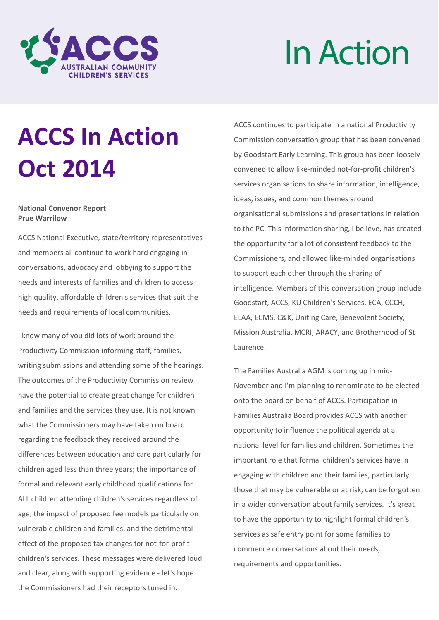

# InAction

# **ACCS In Action Oct 2014**

#### **National Convenor Report Prue Warrilow**

ACCS National Executive, state/territory representatives and members all continue to work hard engaging in conversations, advocacy and lobbying to support the needs and interests of families and children to access high quality, affordable children's services that suit the needs and requirements of local communities.

I know many of you did lots of work around the Productivity Commission informing staff, families, writing submissions and attending some of the hearings. The outcomes of the Productivity Commission review have the potential to create great change for children and families and the services they use. It is not known what the Commissioners may have taken on board regarding the feedback they received around the differences between education and care particularly for children aged less than three years; the importance of formal and relevant early childhood qualifications for ALL children attending children's services regardless of age; the impact of proposed fee models particularly on vulnerable children and families, and the detrimental effect of the proposed tax changes for not-for-profit children's services. These messages were delivered loud and clear, along with supporting evidence - let's hope the Commissioners had their receptors tuned in.

ACCS continues to participate in a national Productivity Commission conversation group that has been convened by Goodstart Early Learning. This group has been loosely convened to allow like-minded not-for-profit children's services organisations to share information, intelligence, ideas, issues, and common themes around organisational submissions and presentations in relation to the PC. This information sharing, I believe, has created the opportunity for a lot of consistent feedback to the Commissioners, and allowed like-minded organisations to support each other through the sharing of intelligence. Members of this conversation group include Goodstart, ACCS, KU Children's Services, ECA, CCCH, ELAA, ECMS, C&K, Uniting Care, Benevolent Society, Mission Australia, MCRI, ARACY, and Brotherhood of St Laurence.

The Families Australia AGM is coming up in mid-November and I'm planning to renominate to be elected onto the board on behalf of ACCS. Participation in Families Australia Board provides ACCS with another opportunity to influence the political agenda at a national level for families and children. Sometimes the important role that formal children's services have in engaging with children and their families, particularly those that may be vulnerable or at risk, can be forgotten in a wider conversation about family services. It's great to have the opportunity to highlight formal children's services as safe entry point for some families to commence conversations about their needs, requirements and opportunities.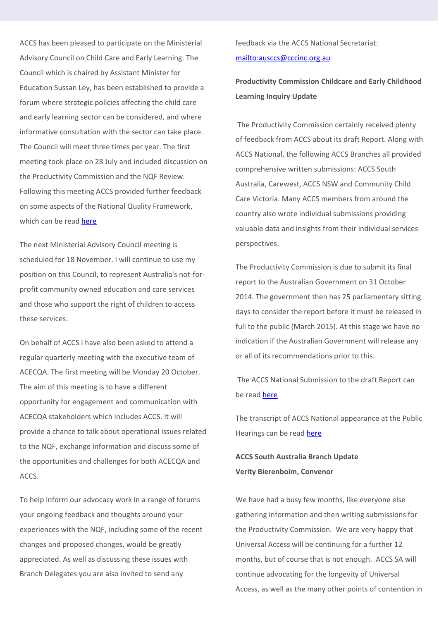ACCS has been pleased to participate on the Ministerial Advisory Council on Child Care and Early Learning. The Council which is chaired by Assistant Minister for Education Sussan Ley, has been established to provide a forum where strategic policies affecting the child care and early learning sector can be considered, and where informative consultation with the sector can take place. The Council will meet three times per year. The first meeting took place on 28 July and included discussion on the Productivity Commission and the NQF Review. Following this meeting ACCS provided further feedback on some aspects of the National Quality Framework, which can be read here

The next Ministerial Advisory Council meeting is scheduled for 18 November. I will continue to use my position on this Council, to represent Australia's not-forprofit community owned education and care services and those who support the right of children to access these services.

On behalf of ACCS I have also been asked to attend a regular quarterly meeting with the executive team of ACECQA. The first meeting will be Monday 20 October. The aim of this meeting is to have a different opportunity for engagement and communication with ACECQA stakeholders which includes ACCS. It will provide a chance to talk about operational issues related to the NQF, exchange information and discuss some of the opportunities and challenges for both ACECQA and ACCS.

To help inform our advocacy work in a range of forums your ongoing feedback and thoughts around your experiences with the NQF, including some of the recent changes and proposed changes, would be greatly appreciated. As well as discussing these issues with Branch Delegates you are also invited to send any

feedback via the ACCS National Secretariat: <mailto:ausccs@cccinc.org.au>

**Productivity Commission Childcare and Early Childhood Learning Inquiry Update**

The Productivity Commission certainly received plenty of feedback from ACCS about its draft Report. Along with ACCS National, the following ACCS Branches all provided comprehensive written submissions: ACCS South Australia, Carewest, ACCS NSW and Community Child Care Victoria. Many ACCS members from around the country also wrote individual submissions providing valuable data and insights from their individual services perspectives.

The Productivity Commission is due to submit its final report to the Australian Government on 31 October 2014. The government then has 25 parliamentary sitting days to consider the report before it must be released in full to the public (March 2015). At this stage we have no indication if the Australian Government will release any or all of its recommendations prior to this.

The ACCS National Submission to the draft Report can be read here

The transcript of ACCS National appearance at the Public Hearings can be read here

**ACCS South Australia Branch Update Verity Bierenboim, Convenor**

We have had a busy few months, like everyone else gathering information and then writing submissions for the Productivity Commission. We are very happy that Universal Access will be continuing for a further 12 months, but of course that is not enough. ACCS SA will continue advocating for the longevity of Universal Access, as well as the many other points of contention in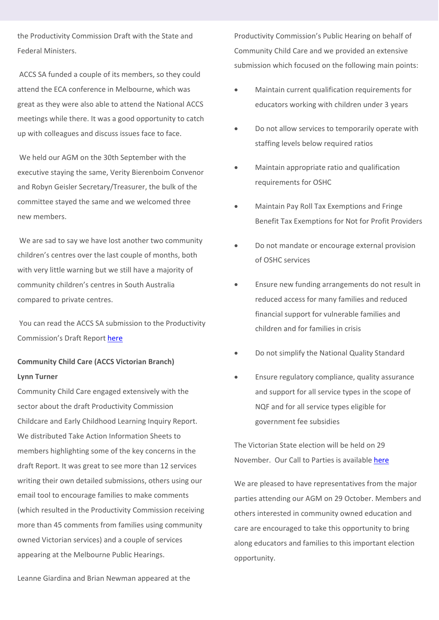the Productivity Commission Draft with the State and Federal Ministers.

ACCS SA funded a couple of its members, so they could attend the ECA conference in Melbourne, which was great as they were also able to attend the National ACCS meetings while there. It was a good opportunity to catch up with colleagues and discuss issues face to face.

We held our AGM on the 30th September with the executive staying the same, Verity Bierenboim Convenor and Robyn Geisler Secretary/Treasurer, the bulk of the committee stayed the same and we welcomed three new members.

We are sad to say we have lost another two community children's centres over the last couple of months, both with very little warning but we still have a majority of community children's centres in South Australia compared to private centres.

You can read the ACCS SA submission to the Productivity Commission's Draft Report here

# **Community Child Care (ACCS Victorian Branch) Lynn Turner**

Community Child Care engaged extensively with the sector about the draft Productivity Commission Childcare and Early Childhood Learning Inquiry Report. We distributed Take Action Information Sheets to members highlighting some of the key concerns in the draft Report. It was great to see more than 12 services writing their own detailed submissions, others using our email tool to encourage families to make comments (which resulted in the Productivity Commission receiving more than 45 comments from families using community owned Victorian services) and a couple of services appearing at the Melbourne Public Hearings.

Productivity Commission's Public Hearing on behalf of Community Child Care and we provided an extensive submission which focused on the following main points:

- Maintain current qualification requirements for educators working with children under 3 years
- Do not allow services to temporarily operate with staffing levels below required ratios
- Maintain appropriate ratio and qualification requirements for OSHC
- Maintain Pay Roll Tax Exemptions and Fringe Benefit Tax Exemptions for Not for Profit Providers
- Do not mandate or encourage external provision of OSHC services
- Ensure new funding arrangements do not result in reduced access for many families and reduced financial support for vulnerable families and children and for families in crisis
- Do not simplify the National Quality Standard
- Ensure regulatory compliance, quality assurance and support for all service types in the scope of NQF and for all service types eligible for government fee subsidies

The Victorian State election will be held on 29 November. Our Call to Parties is available here

We are pleased to have representatives from the major parties attending our AGM on 29 October. Members and others interested in community owned education and care are encouraged to take this opportunity to bring along educators and families to this important election opportunity.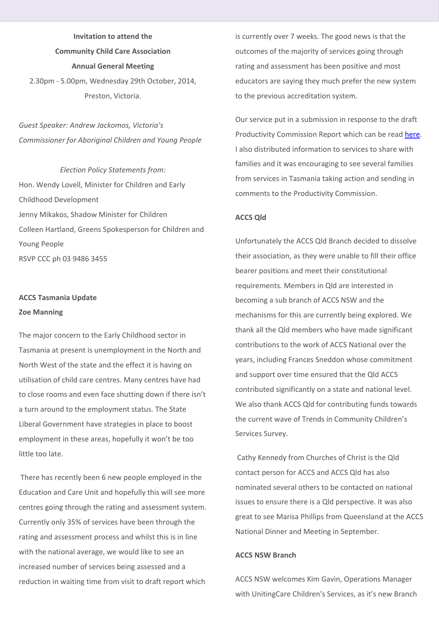**Invitation to attend the Community Child Care Association Annual General Meeting** 2.30pm - 5.00pm, Wednesday 29th October, 2014, Preston, Victoria.

*Guest Speaker: Andrew Jackomos, Victoria's Commissioner for Aboriginal Children and Young People*

*Election Policy Statements from:* Hon. Wendy Lovell, Minister for Children and Early Childhood Development Jenny Mikakos, Shadow Minister for Children Colleen Hartland, Greens Spokesperson for Children and Young People RSVP CCC ph 03 9486 3455

## **ACCS Tasmania Update Zoe Manning**

The major concern to the Early Childhood sector in Tasmania at present is unemployment in the North and North West of the state and the effect it is having on utilisation of child care centres. Many centres have had to close rooms and even face shutting down if there isn't a turn around to the employment status. The State Liberal Government have strategies in place to boost employment in these areas, hopefully it won't be too little too late.

There has recently been 6 new people employed in the Education and Care Unit and hopefully this will see more centres going through the rating and assessment system. Currently only 35% of services have been through the rating and assessment process and whilst this is in line with the national average, we would like to see an increased number of services being assessed and a reduction in waiting time from visit to draft report which

is currently over 7 weeks. The good news is that the outcomes of the majority of services going through rating and assessment has been positive and most educators are saying they much prefer the new system to the previous accreditation system.

Our service put in a submission in response to the draft Productivity Commission Report which can be read here. I also distributed information to services to share with families and it was encouraging to see several families from services in Tasmania taking action and sending in comments to the Productivity Commission.

#### **ACCS Qld**

Unfortunately the ACCS Qld Branch decided to dissolve their association, as they were unable to fill their office bearer positions and meet their constitutional requirements. Members in Qld are interested in becoming a sub branch of ACCS NSW and the mechanisms for this are currently being explored. We thank all the Qld members who have made significant contributions to the work of ACCS National over the years, including Frances Sneddon whose commitment and support over time ensured that the Qld ACCS contributed significantly on a state and national level. We also thank ACCS Qld for contributing funds towards the current wave of Trends in Community Children's Services Survey.

Cathy Kennedy from Churches of Christ is the Qld contact person for ACCS and ACCS Qld has also nominated several others to be contacted on national issues to ensure there is a Qld perspective. It was also great to see Marisa Phillips from Queensland at the ACCS National Dinner and Meeting in September.

#### **ACCS NSW Branch**

ACCS NSW welcomes Kim Gavin, Operations Manager with UnitingCare Children's Services, as it's new Branch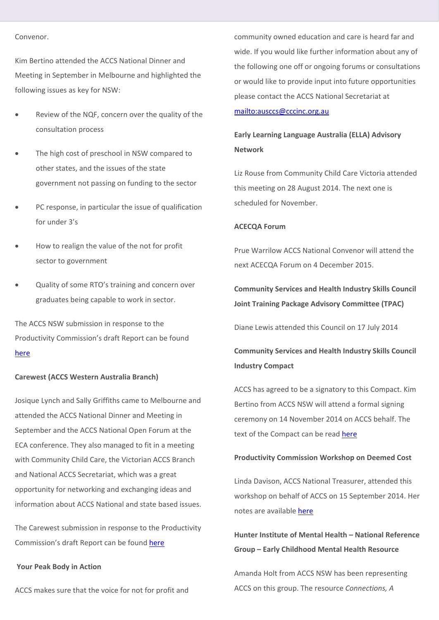#### Convenor.

Kim Bertino attended the ACCS National Dinner and Meeting in September in Melbourne and highlighted the following issues as key for NSW:

- Review of the NQF, concern over the quality of the consultation process
- The high cost of preschool in NSW compared to other states, and the issues of the state government not passing on funding to the sector
- PC response, in particular the issue of qualification for under 3's
- How to realign the value of the not for profit sector to government
- Quality of some RTO's training and concern over graduates being capable to work in sector.

The ACCS NSW submission in response to the Productivity Commission's draft Report can be found here

#### **Carewest (ACCS Western Australia Branch)**

Josique Lynch and Sally Griffiths came to Melbourne and attended the ACCS National Dinner and Meeting in September and the ACCS National Open Forum at the ECA conference. They also managed to fit in a meeting with Community Child Care, the Victorian ACCS Branch and National ACCS Secretariat, which was a great opportunity for networking and exchanging ideas and information about ACCS National and state based issues.

The Carewest submission in response to the Productivity Commission's draft Report can be found here

#### **Your Peak Body in Action**

ACCS makes sure that the voice for not for profit and

community owned education and care is heard far and wide. If you would like further information about any of the following one off or ongoing forums or consultations or would like to provide input into future opportunities please contact the ACCS National Secretariat at <mailto:ausccs@cccinc.org.au>

# **Early Learning Language Australia (ELLA) Advisory Network**

Liz Rouse from Community Child Care Victoria attended this meeting on 28 August 2014. The next one is scheduled for November.

#### **ACECQA Forum**

Prue Warrilow ACCS National Convenor will attend the next ACECQA Forum on 4 December 2015.

**Community Services and Health Industry Skills Council Joint Training Package Advisory Committee (TPAC)**

Diane Lewis attended this Council on 17 July 2014

# **Community Services and Health Industry Skills Council Industry Compact**

ACCS has agreed to be a signatory to this Compact. Kim Bertino from ACCS NSW will attend a formal signing ceremony on 14 November 2014 on ACCS behalf. The text of the Compact can be read here

#### **Productivity Commission Workshop on Deemed Cost**

Linda Davison, ACCS National Treasurer, attended this workshop on behalf of ACCS on 15 September 2014. Her notes are available here

**Hunter Institute of Mental Health – National Reference Group – Early Childhood Mental Health Resource**

Amanda Holt from ACCS NSW has been representing ACCS on this group. The resource *Connections, A*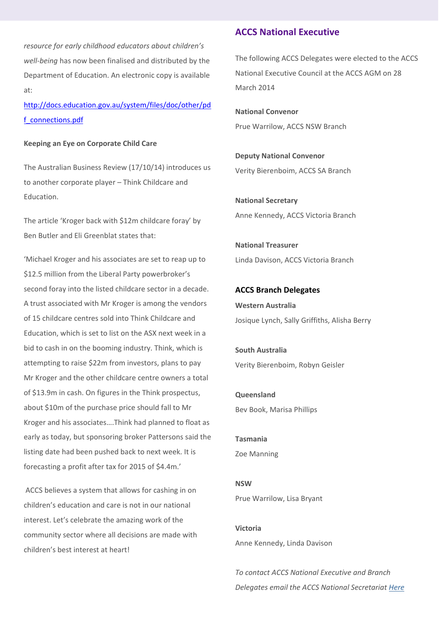*resource for early childhood educators about children's well-being* has now been finalised and distributed by the Department of Education. An electronic copy is available at:

[http://docs.education.gov.au/system/files/doc/other/pd](http://docs.education.gov.au/system/files/doc/other/pdf_connections.pdf) [f\\_connections.pdf](http://docs.education.gov.au/system/files/doc/other/pdf_connections.pdf)

#### **Keeping an Eye on Corporate Child Care**

The Australian Business Review (17/10/14) introduces us to another corporate player – Think Childcare and Education.

The article 'Kroger back with \$12m childcare foray' by Ben Butler and Eli Greenblat states that:

'Michael Kroger and his associates are set to reap up to \$12.5 million from the Liberal Party powerbroker's second foray into the listed childcare sector in a decade. A trust associated with Mr Kroger is among the vendors of 15 childcare centres sold into Think Childcare and Education, which is set to list on the ASX next week in a bid to cash in on the booming industry. Think, which is attempting to raise \$22m from investors, plans to pay Mr Kroger and the other childcare centre owners a total of \$13.9m in cash. On figures in the Think prospectus, about \$10m of the purchase price should fall to Mr Kroger and his associates….Think had planned to float as early as today, but sponsoring broker Pattersons said the listing date had been pushed back to next week. It is forecasting a profit after tax for 2015 of \$4.4m.'

ACCS believes a system that allows for cashing in on children's education and care is not in our national interest. Let's celebrate the amazing work of the community sector where all decisions are made with children's best interest at heart!

### **ACCS National Executive**

The following ACCS Delegates were elected to the ACCS National Executive Council at the ACCS AGM on 28 March 2014

**National Convenor** Prue Warrilow, ACCS NSW Branch

**Deputy National Convenor**  Verity Bierenboim, ACCS SA Branch

**National Secretary** Anne Kennedy, ACCS Victoria Branch

**National Treasurer** Linda Davison, ACCS Victoria Branch

**ACCS Branch Delegates Western Australia** Josique Lynch, Sally Griffiths, Alisha Berry

**South Australia** Verity Bierenboim, Robyn Geisler

**Queensland** Bev Book, Marisa Phillips

**Tasmania** Zoe Manning

**NSW**  Prue Warrilow, Lisa Bryant

**Victoria** Anne Kennedy, Linda Davison

*To contact ACCS National Executive and Branch Delegates email the ACCS National Secretariat [Here](mailto:ausccs@cccinc.org.au)*